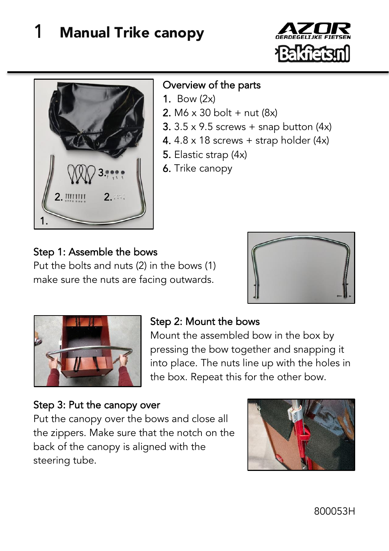## **Manual Trike canopy**



#### Overview of the parts

- 1. Bow  $(2x)$
- 2. M6  $\times$  30 bolt + nut (8x)
- 3.  $3.5 \times 9.5$  screws + snap button (4x)
- 4.  $4.8 \times 18$  screws + strap holder (4x)
- 5. Elastic strap (4x)
- 6. Trike canopy

### Step 1: Assemble the bows

Put the bolts and nuts (2) in the bows (1) make sure the nuts are facing outwards.



**Rakfiefer** 



#### Step 2: Mount the bows

Mount the assembled bow in the box by pressing the bow together and snapping it into place. The nuts line up with the holes in the box. Repeat this for the other bow.

#### Step 3: Put the canopy over

Put the canopy over the bows and close all the zippers. Make sure that the notch on the back of the canopy is aligned with the steering tube.